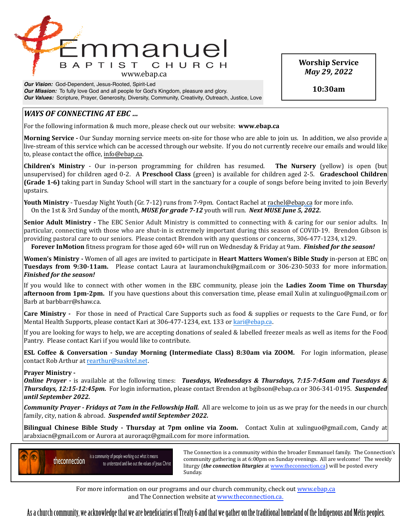

*Our Vision:* God-Dependent, Jesus-Rooted, Spirit-Led *Our Mission:* To fully love God and all people for God's Kingdom, pleasure and glory. *Our Values:* Scripture, Prayer, Generosity, Diversity, Community, Creativity, Outreach, Justice, Love

# *WAYS* OF CONNECTING AT EBC ...

For the following information & much more, please check out our website: **www.ebap.ca** 

**Morning Service** - Our Sunday morning service meets on-site for those who are able to join us. In addition, we also provide a live-stream of this service which can be accessed through our website. If you do not currently receive our emails and would like to, please contact the office, info@ebap.ca.

**Children's Ministry** - Our in-person programming for children has resumed. The Nursery (yellow) is open (but unsupervised) for children aged 0-2. A Preschool Class (green) is available for children aged 2-5. Gradeschool Children **(Grade 1-6)** taking part in Sunday School will start in the sanctuary for a couple of songs before being invited to join Beverly upstairs. 

**Youth Ministry** - Tuesday Night Youth (Gr. 7-12) runs from 7-9pm. Contact Rachel at [rachel@ebap.ca](mailto:rachel@ebap.ca) for more info. On the 1st & 3rd Sunday of the month, *MUSE for grade 7-12* youth will run. *Next MUSE June 5, 2022.* 

**Senior Adult Ministry** - The EBC Senior Adult Ministry is committed to connecting with & caring for our senior adults. In particular, connecting with those who are shut-in is extremely important during this season of COVID-19. Brendon Gibson is providing pastoral care to our seniors. Please contact Brendon with any questions or concerns, 306-477-1234, x129.

**Forever InMotion** fitness program for those aged 60+ will run on Wednesday & Friday at 9am. *Finished for the season!* 

**Women's Ministry** - Women of all ages are invited to participate in **Heart Matters Women's Bible Study** in-person at EBC on **Tuesdays from 9:30-11am.** Please contact Laura at lauramonchuk@gmail.com or 306-230-5033 for more information. *Finished for the season!* 

If you would like to connect with other women in the EBC community, please join the Ladies Zoom Time on Thursday **afternoon from 1pm-2pm.** If you have questions about this conversation time, please email Xulin at xulinguo@gmail.com or Barb at barbbarr@shaw.ca.

**Care Ministry** - For those in need of Practical Care Supports such as food & supplies or requests to the Care Fund, or for Mental Health Supports, please contact Kari at 306-477-1234, ext. 133 or [kari@ebap.ca.](mailto:kari@ebap.ca)

If you are looking for ways to help, we are accepting donations of sealed & labelled freezer meals as well as items for the Food Pantry. Please contact Kari if you would like to contribute.

**ESL Coffee & Conversation - Sunday Morning (Intermediate Class) 8:30am via ZOOM.** For login information, please contact Rob Arthur at [rearthur@sasktel.net.](mailto:rearthur@sasktel.net)

# **Prayer Ministry -**

*Online Prayer* - is available at the following times: *Tuesdays, Wednesdays & Thursdays, 7:15-7:45am and Tuesdays &* **Thursdays, 12:15-12:45pm.** For login information, please contact Brendon at bgibson@ebap.ca or 306-341-0195. Suspended *until September 2022.* 

**Community Prayer** - Fridays at 7am in the Fellowship Hall. All are welcome to join us as we pray for the needs in our church family, city, nation & abroad. Suspended until September 2022.

**Bilingual Chinese Bible Study - Thursday at 7pm online via Zoom.** Contact Xulin at xulinguo@gmail.com, Candy at arabxiacn@gmail.com or Aurora at auroraqz@gmail.com for more information.



Is a community of people working out what it means<br>
a community are the prima is at 6.00 nm on Sunday ayoning a 11 are yellowned. The yugokly community gathering is at 6:00pm on Sunday evenings. All are welcome! The weekly liturgy (*the connection liturgies* at www.theconnection.ca) will be posted every Sunday. The contract of the contract of the contract of the contract of the contract of the contract of the contract of the contract of the contract of the contract of the contract of the contract of the contract of the co

For more information on our programs and our church community, check out www.ebap.ca and The Connection website at [www.theconnection.ca](http://www.theconnection.ca).

As a church community, we acknowledge that we are benefciaries of Treaty 6 and that we gather on the traditional homeland of the Indigenous and Métis peoples.

**Worship Service** *May 29, 2022*

**10:30am**